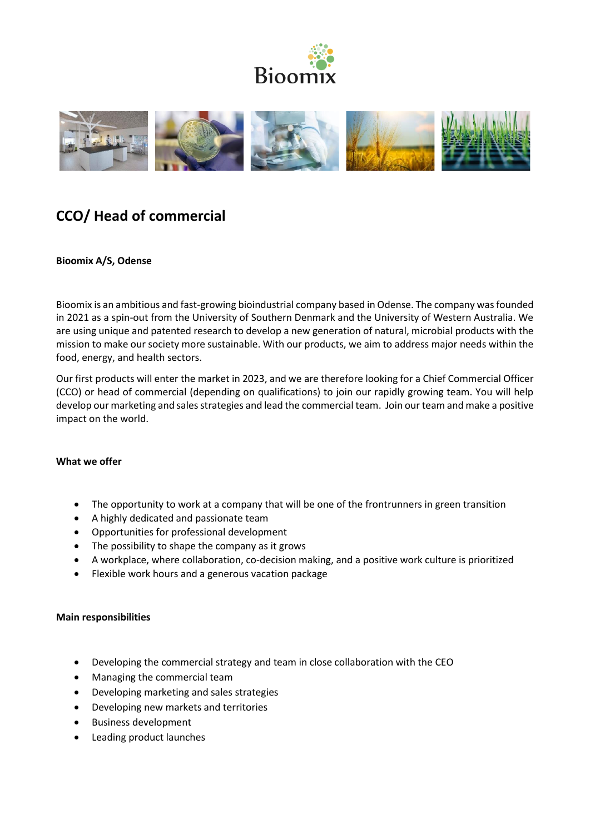



# **CCO/ Head of commercial**

## **Bioomix A/S, Odense**

Bioomix is an ambitious and fast-growing bioindustrial company based in Odense. The company was founded in 2021 as a spin-out from the University of Southern Denmark and the University of Western Australia. We are using unique and patented research to develop a new generation of natural, microbial products with the mission to make our society more sustainable. With our products, we aim to address major needs within the food, energy, and health sectors.

Our first products will enter the market in 2023, and we are therefore looking for a Chief Commercial Officer (CCO) or head of commercial (depending on qualifications) to join our rapidly growing team. You will help develop our marketing and sales strategies and lead the commercial team. Join our team and make a positive impact on the world.

## **What we offer**

- The opportunity to work at a company that will be one of the frontrunners in green transition
- A highly dedicated and passionate team
- Opportunities for professional development
- The possibility to shape the company as it grows
- A workplace, where collaboration, co-decision making, and a positive work culture is prioritized
- Flexible work hours and a generous vacation package

## **Main responsibilities**

- Developing the commercial strategy and team in close collaboration with the CEO
- Managing the commercial team
- Developing marketing and sales strategies
- Developing new markets and territories
- Business development
- Leading product launches